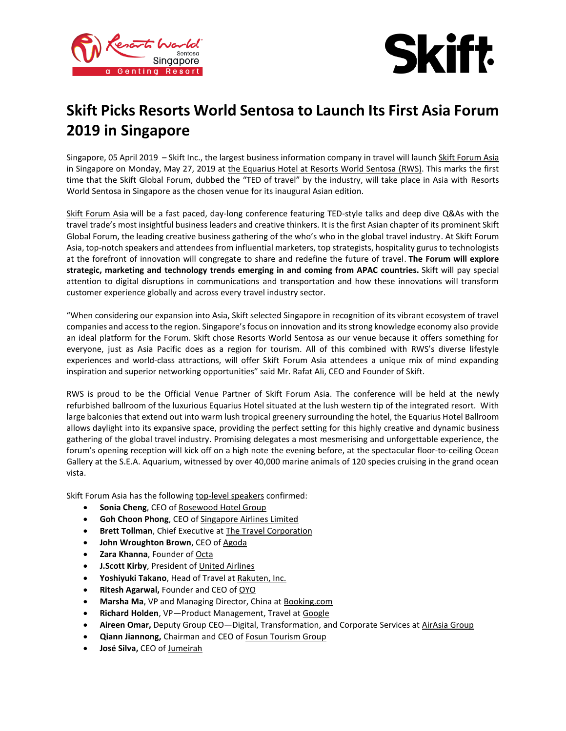



# **Skift Picks Resorts World Sentosa to Launch Its First Asia Forum 2019 in Singapore**

Singapore, 05 April 2019 – Skift Inc., the largest business information company in travel will launch [Skift Forum Asia](https://forum.skift.com/asia/) in Singapore on Monday, May 27, 2019 at [the Equarius Hotel at Resorts World Sentosa](https://www.rwsentosa.com/en/hotels/equarius-hotel/overview) (RWS). This marks the first time that the Skift Global Forum, dubbed the "TED of travel" by the industry, will take place in Asia with Resorts World Sentosa in Singapore as the chosen venue for its inaugural Asian edition.

[Skift Forum Asia](http://forum.skift.com/asia) will be a fast paced, day-long conference featuring TED-style talks and deep dive Q&As with the travel trade's most insightful business leaders and creative thinkers. It is the first Asian chapter of its prominent Skift Global Forum, the leading creative business gathering of the who's who in the global travel industry. At Skift Forum Asia, top-notch speakers and attendees from influential marketers, top strategists, hospitality gurus to technologists at the forefront of innovation will congregate to share and redefine the future of travel. **The Forum will explore strategic, marketing and technology trends emerging in and coming from APAC countries.** Skift will pay special attention to digital disruptions in communications and transportation and how these innovations will transform customer experience globally and across every travel industry sector.

"When considering our expansion into Asia, Skift selected Singapore in recognition of its vibrant ecosystem of travel companies and access to the region. Singapore's focus on innovation and its strong knowledge economy also provide an ideal platform for the Forum. Skift chose Resorts World Sentosa as our venue because it offers something for everyone, just as Asia Pacific does as a region for tourism. All of this combined with RWS's diverse lifestyle experiences and world-class attractions, will offer Skift Forum Asia attendees a unique mix of mind expanding inspiration and superior networking opportunities" said Mr. Rafat Ali, CEO and Founder of Skift.

RWS is proud to be the Official Venue Partner of Skift Forum Asia. The conference will be held at the newly refurbished ballroom of the luxurious Equarius Hotel situated at the lush western tip of the integrated resort. With large balconies that extend out into warm lush tropical greenery surrounding the hotel, the Equarius Hotel Ballroom allows daylight into its expansive space, providing the perfect setting for this highly creative and dynamic business gathering of the global travel industry. Promising delegates a most mesmerising and unforgettable experience, the forum's opening reception will kick off on a high note the evening before, at the spectacular floor-to-ceiling Ocean Gallery at the S.E.A. Aquarium, witnessed by over 40,000 marine animals of 120 species cruising in the grand ocean vista.

Skift Forum Asia has the following [top-level speakers](https://forum.skift.com/asia/speakers/) confirmed:

- **Sonia Cheng**, CEO of [Rosewood Hotel Group](https://www.rosewoodhotelgroup.com/)
- **Goh Choon Phong**, CEO of [Singapore Airlines Limited](https://www.singaporeair.com/)
- **Brett Tollman**, Chief Executive at [The Travel Corporation](https://ttc.com/)
- **John Wroughton Brown**, CEO of [Agoda](https://www.agoda.com/)
- **Zara Khanna**, Founder of [Octa](https://www.octa.ai/)
- **J.Scott Kirby**, President of [United Airlines](https://www.united.com/)
- **Yoshiyuki Takano**, Head of Travel at [Rakuten, Inc.](https://www.rakuten.com/)
- **Ritesh Agarwal,** Founder and CEO of [OYO](https://www.oyorooms.com/us)
- **Marsha Ma**, VP and Managing Director, China at [Booking.com](https://www.booking.com/)
- **Richard Holden**, VP—Product Management, Travel at [Google](https://www.google.com/)
- **Aireen Omar,** Deputy Group CEO—Digital, Transformation, and Corporate Services at [AirAsia Group](https://ir.airasia.com/)
- **Qiann Jiannong,** Chairman and CEO of [Fosun Tourism Group](http://www.fosunholiday.com/)
- **José Silva,** CEO of [Jumeirah](https://www.jumeirah.com/)